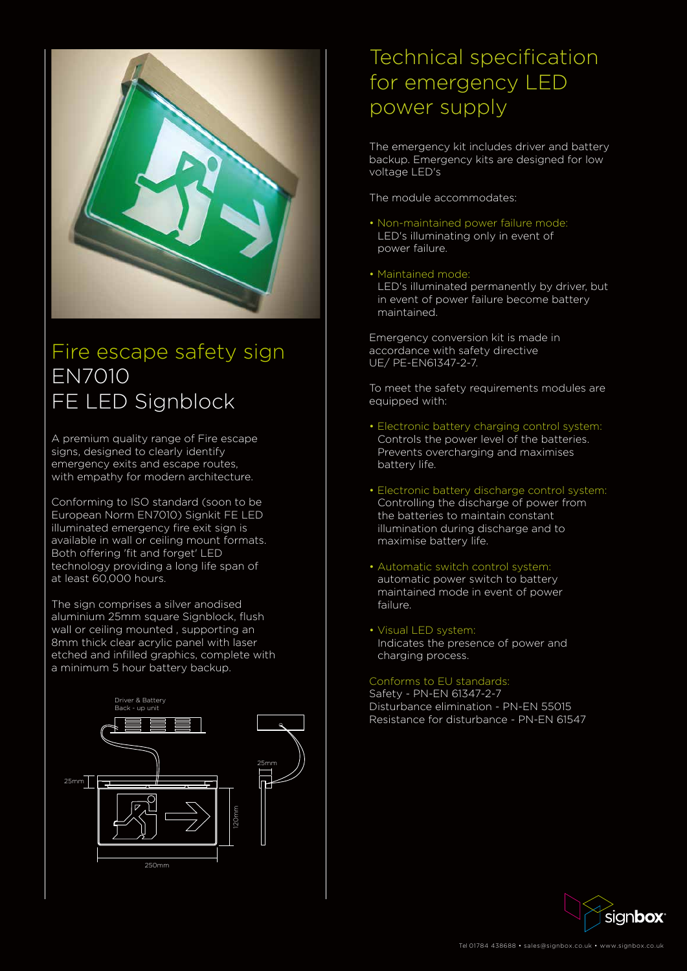

# Fire escape safety sign EN7010 FE LED Signblock

A premium quality range of Fire escape signs, designed to clearly identify emergency exits and escape routes, with empathy for modern architecture.

Conforming to ISO standard (soon to be European Norm EN7010) Signkit FE LED illuminated emergency fire exit sign is available in wall or ceiling mount formats. Both offering 'fit and forget' LED technology providing a long life span of at least 60,000 hours.

The sign comprises a silver anodised aluminium 25mm square Signblock, flush wall or ceiling mounted , supporting an 8mm thick clear acrylic panel with laser etched and infilled graphics, complete with a minimum 5 hour battery backup.

The emergency kit includes driver and battery backup. Emergency kits are designed for low voltage LED's

The module accommodates:

- Non-maintained power failure mode: LED's illuminating only in event of power failure.
- Maintained mode:

 LED's illuminated permanently by driver, but in event of power failure become battery maintained.

Emergency conversion kit is made in accordance with safety directive UE/ PE-EN61347-2-7.

To meet the safety requirements modules are equipped with:

- Electronic battery charging control system: Controls the power level of the batteries. Prevents overcharging and maximises battery life.
- Electronic battery discharge control system: Controlling the discharge of power from the batteries to maintain constant illumination during discharge and to maximise battery life.
- Automatic switch control system: automatic power switch to battery maintained mode in event of power failure.
- Visual LED system: Indicates the presence of power and charging process.

#### Conforms to EU standards:

Safety - PN-EN 61347-2-7 Disturbance elimination - PN-EN 55015 Resistance for disturbance - PN-EN 61547

### Technical specification for emergency LED power supply









Tel 01784 438688 • sales@signbox.co.uk • www.signbox.co.uk